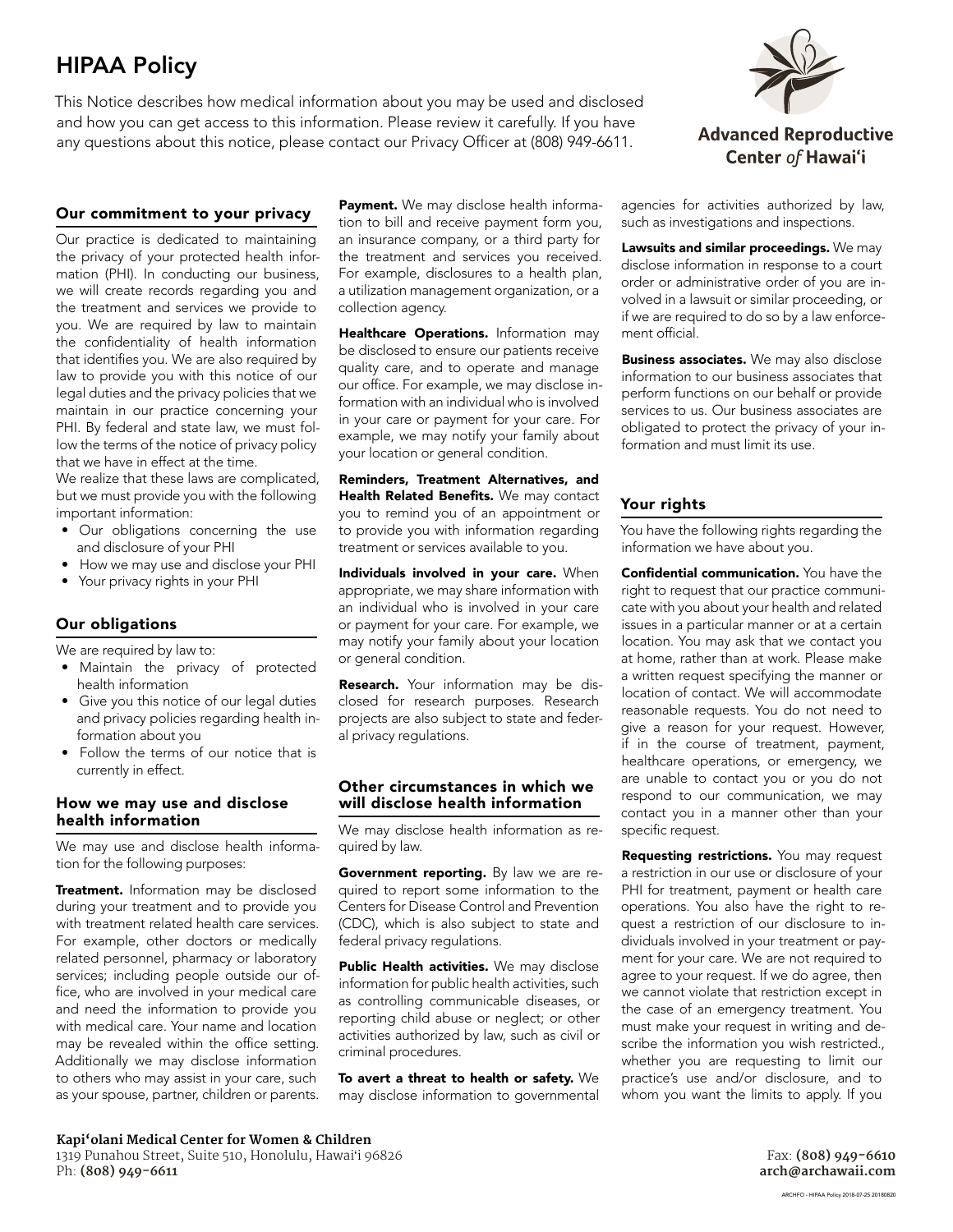# HIPAA Policy

This Notice describes how medical information about you may be used and disclosed and how you can get access to this information. Please review it carefully. If you have any questions about this notice, please contact our Privacy Officer at (808) 949-6611.

# Our commitment to your privacy

Our practice is dedicated to maintaining the privacy of your protected health information (PHI). In conducting our business, we will create records regarding you and the treatment and services we provide to you. We are required by law to maintain the confidentiality of health information that identifies you. We are also required by law to provide you with this notice of our legal duties and the privacy policies that we maintain in our practice concerning your PHI. By federal and state law, we must follow the terms of the notice of privacy policy that we have in effect at the time.

We realize that these laws are complicated, but we must provide you with the following important information:

- Our obligations concerning the use and disclosure of your PHI
- How we may use and disclose your PHI
- Your privacy rights in your PHI

### Our obligations

We are required by law to:

- Maintain the privacy of protected health information
- Give you this notice of our legal duties and privacy policies regarding health information about you
- Follow the terms of our notice that is currently in effect.

#### How we may use and disclose health information

We may use and disclose health information for the following purposes:

Treatment. Information may be disclosed during your treatment and to provide you with treatment related health care services. For example, other doctors or medically related personnel, pharmacy or laboratory services; including people outside our office, who are involved in your medical care and need the information to provide you with medical care. Your name and location may be revealed within the office setting. Additionally we may disclose information to others who may assist in your care, such as your spouse, partner, children or parents.

Payment. We may disclose health information to bill and receive payment form you, an insurance company, or a third party for the treatment and services you received. For example, disclosures to a health plan, a utilization management organization, or a collection agency.

Healthcare Operations. Information may be disclosed to ensure our patients receive quality care, and to operate and manage our office. For example, we may disclose information with an individual who is involved in your care or payment for your care. For example, we may notify your family about your location or general condition.

Reminders, Treatment Alternatives, and Health Related Benefits. We may contact you to remind you of an appointment or to provide you with information regarding treatment or services available to you.

Individuals involved in your care. When appropriate, we may share information with an individual who is involved in your care or payment for your care. For example, we may notify your family about your location or general condition.

Research. Your information may be disclosed for research purposes. Research projects are also subject to state and federal privacy regulations.

#### Other circumstances in which we will disclose health information

We may disclose health information as required by law.

Government reporting. By law we are required to report some information to the Centers for Disease Control and Prevention (CDC), which is also subject to state and federal privacy regulations.

Public Health activities. We may disclose information for public health activities, such as controlling communicable diseases, or reporting child abuse or neglect; or other activities authorized by law, such as civil or criminal procedures.

To avert a threat to health or safety. We may disclose information to governmental



agencies for activities authorized by law, such as investigations and inspections.

Lawsuits and similar proceedings. We may disclose information in response to a court order or administrative order of you are involved in a lawsuit or similar proceeding, or if we are required to do so by a law enforcement official.

**Business associates.** We may also disclose information to our business associates that perform functions on our behalf or provide services to us. Our business associates are obligated to protect the privacy of your information and must limit its use.

# Your rights

You have the following rights regarding the information we have about you.

Confidential communication. You have the right to request that our practice communicate with you about your health and related issues in a particular manner or at a certain location. You may ask that we contact you at home, rather than at work. Please make a written request specifying the manner or location of contact. We will accommodate reasonable requests. You do not need to give a reason for your request. However, if in the course of treatment, payment, healthcare operations, or emergency, we are unable to contact you or you do not respond to our communication, we may contact you in a manner other than your specific request.

Requesting restrictions. You may request a restriction in our use or disclosure of your PHI for treatment, payment or health care operations. You also have the right to request a restriction of our disclosure to individuals involved in your treatment or payment for your care. We are not required to agree to your request. If we do agree, then we cannot violate that restriction except in the case of an emergency treatment. You must make your request in writing and describe the information you wish restricted., whether you are requesting to limit our practice's use and/or disclosure, and to whom you want the limits to apply. If you